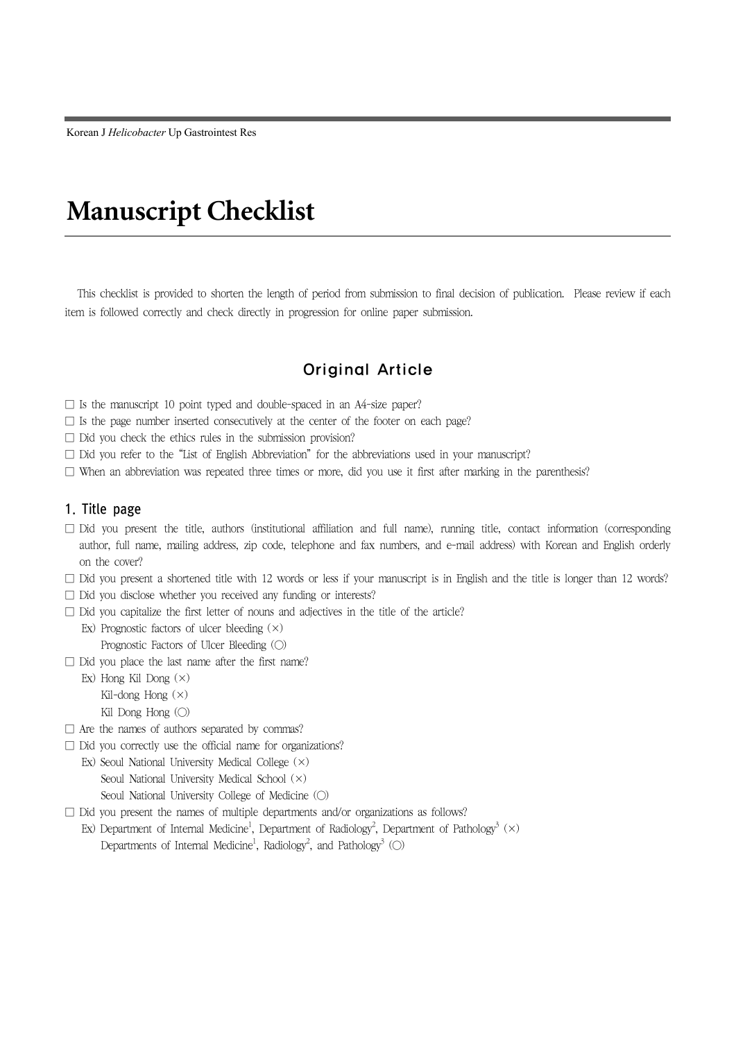Korean J *Helicobacter* Up Gastrointest Res

# **Manuscript Checklist**

This checklist is provided to shorten the length of period from submission to final decision of publication. Please review if each item is followed correctly and check directly in progression for online paper submission.

# Original Article

- $\square$  Is the manuscript 10 point typed and double-spaced in an A4-size paper?
- $\square$  Is the page number inserted consecutively at the center of the footer on each page?
- □ Did you check the ethics rules in the submission provision?
- $\square$  Did you refer to the "List of English Abbreviation" for the abbreviations used in your manuscript?
- $\square$  When an abbreviation was repeated three times or more, did you use it first after marking in the parenthesis?

#### 1. Title page

- □ Did you present the title, authors (institutional affiliation and full name), running title, contact information (corresponding author, full name, mailing address, zip code, telephone and fax numbers, and e-mail address) with Korean and English orderly on the cover?
- $\Box$  Did you present a shortened title with 12 words or less if your manuscript is in English and the title is longer than 12 words?
- □ Did you disclose whether you received any funding or interests?
- $\square$  Did you capitalize the first letter of nouns and adjectives in the title of the article?
	- Ex) Prognostic factors of ulcer bleeding  $(x)$ Prognostic Factors of Ulcer Bleeding (○)
- □ Did you place the last name after the first name?
	- Ex) Hong Kil Dong  $(x)$ Kil-dong Hong (×) Kil Dong Hong (○)
- $\square$  Are the names of authors separated by commas?
- $\square$  Did you correctly use the official name for organizations?
	- Ex) Seoul National University Medical College (×) Seoul National University Medical School (×)
		- Seoul National University College of Medicine (○)
- □ Did you present the names of multiple departments and/or organizations as follows?
	- Ex) Department of Internal Medicine<sup>1</sup>, Department of Radiology<sup>2</sup>, Department of Pathology<sup>3</sup> ( $\times$ ) Departments of Internal Medicine<sup>1</sup>, Radiology<sup>2</sup>, and Pathology<sup>3</sup> (○)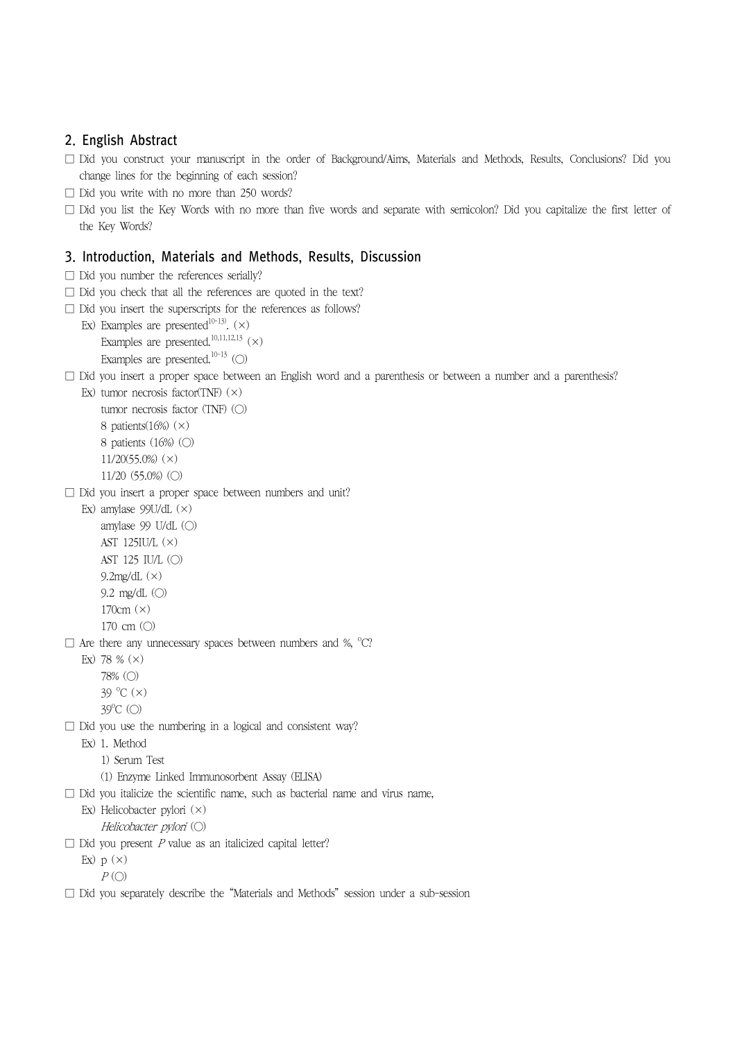## 2. English Abstract

- □ Did you construct your manuscript in the order of Background/Aims, Materials and Methods, Results, Conclusions? Did you change lines for the beginning of each session?
- $\Box$  Did you write with no more than 250 words?
- □ Did you list the Key Words with no more than five words and separate with semicolon? Did you capitalize the first letter of the Key Words?

### 3. Introduction, Materials and Methods, Results, Discussion

- $\Box$  Did you number the references serially?
- $\Box$  Did you check that all the references are quoted in the text?
- $\Box$  Did you insert the superscripts for the references as follows?
	- Ex) Examples are presented<sup>10-13)</sup>.  $(\times)$ Examples are presented.<sup>10,11,12,13</sup>  $(\times)$ Examples are presented.<sup>10-13</sup> (○)

#### $\square$  Did you insert a proper space between an English word and a parenthesis or between a number and a parenthesis?

Ex) tumor necrosis factor(TNF)  $(x)$ tumor necrosis factor (TNF) (○) 8 patients $(16%)$   $(\times)$ 8 patients (16%) (○) 11/20(55.0%) (×) 11/20 (55.0%) (○)

□ Did you insert a proper space between numbers and unit?

Ex) amylase 99U/dL (×) amylase 99 U/dL (○) AST 125IU/L (×) AST 125 IU/L (○) 9.2mg/dL (×) 9.2 mg/dL (○) 170cm (×) 170 cm (○)

 $\Box$  Are there any unnecessary spaces between numbers and %,  $^{\circ}C$ ?

- Ex) 78 %  $(x)$ 
	- 78% (○)
	- $39^{\circ}$ C $(x)$
	- 39<sup>o</sup>C (○)
- $\Box$  Did you use the numbering in a logical and consistent way?
	- Ex) 1. Method
		- 1) Serum Test
		- (1) Enzyme Linked Immunosorbent Assay (ELISA)
- $\Box$  Did you italicize the scientific name, such as bacterial name and virus name,
	- Ex) Helicobacter pylori (×)
		- Helicobacter pylori (○)
- $\Box$  Did you present P value as an italicized capital letter?
	- Ex)  $p(x)$ 
		- $P$  (O)
- □ Did you separately describe the "Materials and Methods" session under a sub-session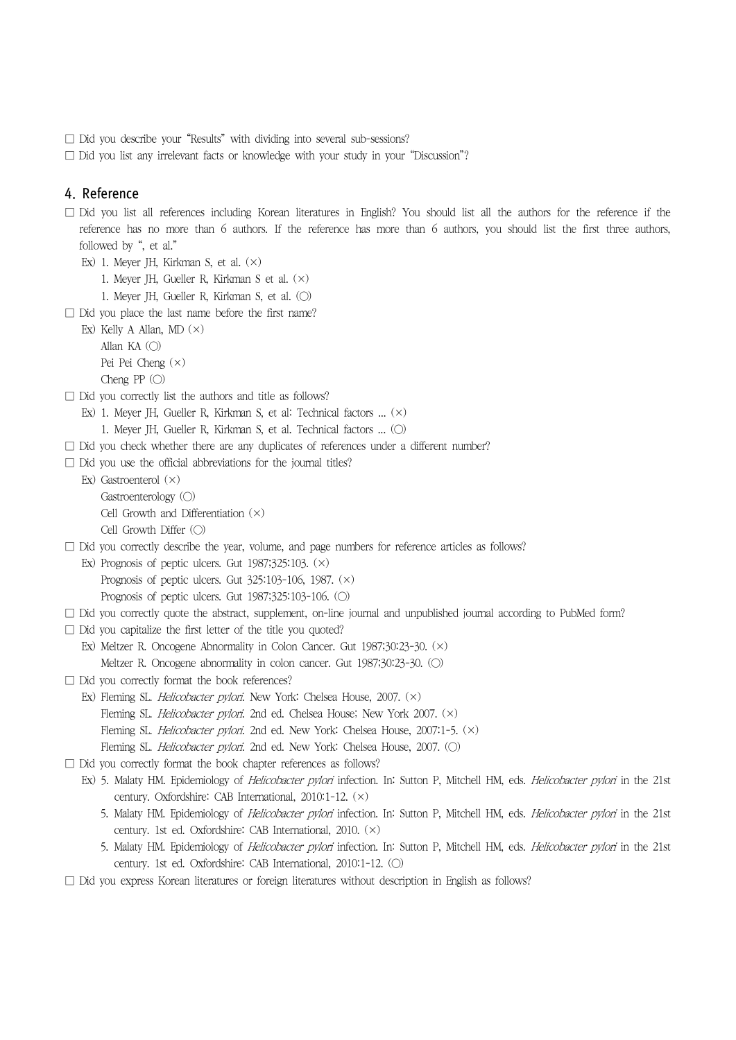- □ Did you describe your "Results" with dividing into several sub-sessions?
- □ Did you list any irrelevant facts or knowledge with your study in your "Discussion"?

#### 4. Reference

- $\square$  Did you list all references including Korean literatures in English? You should list all the authors for the reference if the reference has no more than 6 authors. If the reference has more than 6 authors, you should list the first three authors, followed by ", et al."
	- Ex) 1. Meyer JH, Kirkman S, et al. (×)
		- 1. Meyer JH, Gueller R, Kirkman S et al. (×)
		- 1. Meyer JH, Gueller R, Kirkman S, et al. (○)
- $\Box$  Did you place the last name before the first name?

Ex) Kelly A Allan,  $MD(x)$ Allan KA  $(\bigcirc)$ Pei Pei Cheng (×) Cheng PP  $(\bigcirc)$ 

- □ Did you correctly list the authors and title as follows?
	- Ex) 1. Meyer JH, Gueller R, Kirkman S, et al: Technical factors ... (×)
	- 1. Meyer JH, Gueller R, Kirkman S, et al. Technical factors ... (○)
- $\square$  Did you check whether there are any duplicates of references under a different number?
- $\square$  Did you use the official abbreviations for the journal titles?
	- Ex) Gastroenterol (×) Gastroenterology (○) Cell Growth and Differentiation  $(x)$ Cell Growth Differ (○)
- □ Did you correctly describe the year, volume, and page numbers for reference articles as follows?
	- Ex) Prognosis of peptic ulcers. Gut  $1987;325:103.$  ( $\times$ ) Prognosis of peptic ulcers. Gut 325:103-106, 1987. (×) Prognosis of peptic ulcers. Gut 1987;325:103-106. (○)
- □ Did you correctly quote the abstract, supplement, on-line journal and unpublished journal according to PubMed form?
- $\square$  Did you capitalize the first letter of the title you quoted?
	- Ex) Meltzer R. Oncogene Abnormality in Colon Cancer. Gut 1987;30:23-30. (×) Meltzer R. Oncogene abnormality in colon cancer. Gut 1987;30:23-30. (○)
- □ Did you correctly format the book references?
	- Ex) Fleming SL. Helicobacter pylori. New York: Chelsea House, 2007. (×) Fleming SL. Helicobacter pylori. 2nd ed. Chelsea House; New York 2007. (×) Fleming SL. *Helicobacter pylori*. 2nd ed. New York: Chelsea House, 2007:1-5. (×) Fleming SL. Helicobacter pylori. 2nd ed. New York: Chelsea House, 2007. (O)
- $\Box$  Did you correctly format the book chapter references as follows?
	- Ex) 5. Malaty HM. Epidemiology of Helicobacter pylori infection. In: Sutton P, Mitchell HM, eds. Helicobacter pylori in the 21st century. Oxfordshire: CAB International, 2010:1-12. (×)
		- 5. Malaty HM. Epidemiology of Helicobacter pylori infection. In: Sutton P, Mitchell HM, eds. Helicobacter pylori in the 21st century. 1st ed. Oxfordshire: CAB International, 2010. (×)
		- 5. Malaty HM. Epidemiology of *Helicobacter pylori* infection. In: Sutton P, Mitchell HM, eds. *Helicobacter pylori* in the 21st century. 1st ed. Oxfordshire: CAB International, 2010:1-12. (○)
- $\square$  Did you express Korean literatures or foreign literatures without description in English as follows?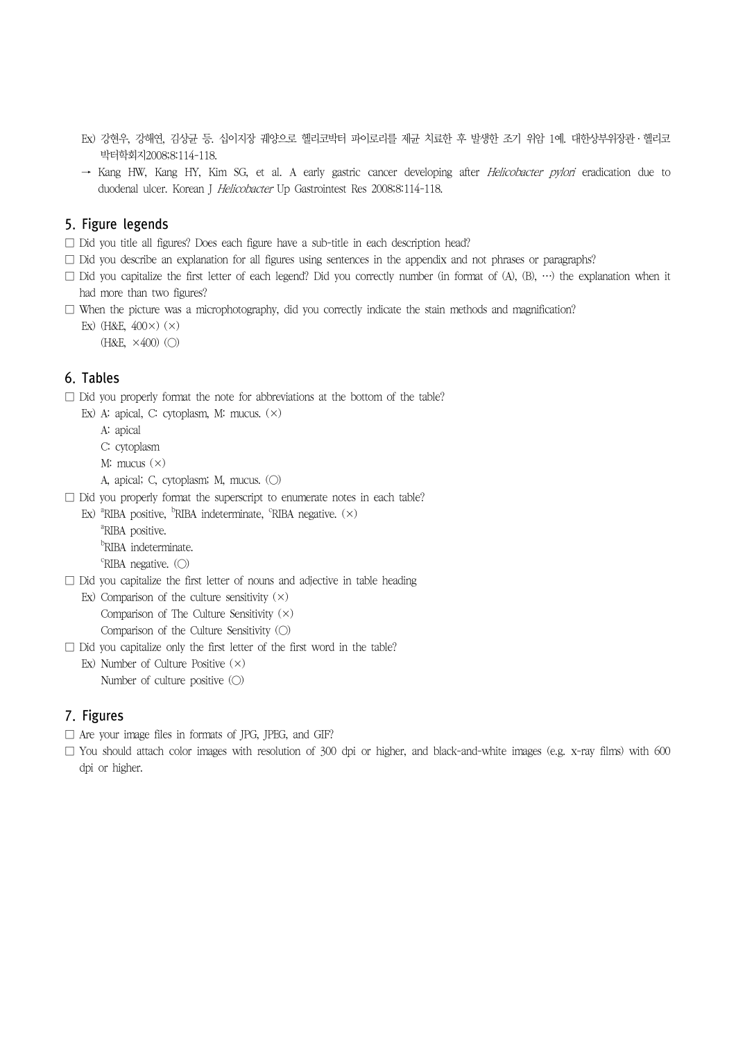- Ex) 강현우, 강해연, 김상균 등. 십이지장 궤양으로 헬리코박터 파이로리를 제균 치료한 후 발생한 조기 위암 1예. 대한상부위장관ㆍ헬리코 박터학회지2008;8:114-118.
- → Kang HW, Kang HY, Kim SG, et al. A early gastric cancer developing after Helicobacter pylori eradication due to duodenal ulcer. Korean J Helicobacter Up Gastrointest Res 2008;8:114-118.

## 5. Figure legends

- $\square$  Did you title all figures? Does each figure have a sub-title in each description head?
- $\Box$  Did you describe an explanation for all figures using sentences in the appendix and not phrases or paragraphs?
- $\square$  Did you capitalize the first letter of each legend? Did you correctly number (in format of (A), (B), …) the explanation when it had more than two figures?
- $\square$  When the picture was a microphotography, did you correctly indicate the stain methods and magnification?

Ex) (H&E,  $400\times$ ) ( $\times$ )  $(H&E, \times 400)$   $(O)$ 

#### 6. Tables

 $\square$  Did you properly format the note for abbreviations at the bottom of the table?

- Ex) A: apical, C: cytoplasm, M: mucus.  $(\times)$ 
	- A: apical
	- C: cytoplasm
	- M: mucus (×)
	- A, apical; C, cytoplasm; M, mucus. (○)

 $\square$  Did you properly format the superscript to enumerate notes in each table?

Ex)  ${}^{\text{a}}$ RIBA positive,  ${}^{\text{b}}$ RIBA indeterminate,  ${}^{\text{c}}$ RIBA negative. ( $\times$ )

- <sup>a</sup>RIBA positive.
- <sup>b</sup>RIBA indeterminate.
- <sup>c</sup>RIBA negative. (○)
- $\square$  Did you capitalize the first letter of nouns and adjective in table heading

Ex) Comparison of the culture sensitivity  $(x)$ Comparison of The Culture Sensitivity (×)

Comparison of the Culture Sensitivity (○)

- $\square$  Did you capitalize only the first letter of the first word in the table? Ex) Number of Culture Positive  $(x)$ 
	- Number of culture positive (○)

## 7. Figures

- $\square$  Are your image files in formats of JPG, JPEG, and GIF?
- $\square$  You should attach color images with resolution of 300 dpi or higher, and black-and-white images (e.g. x-ray films) with 600 dpi or higher.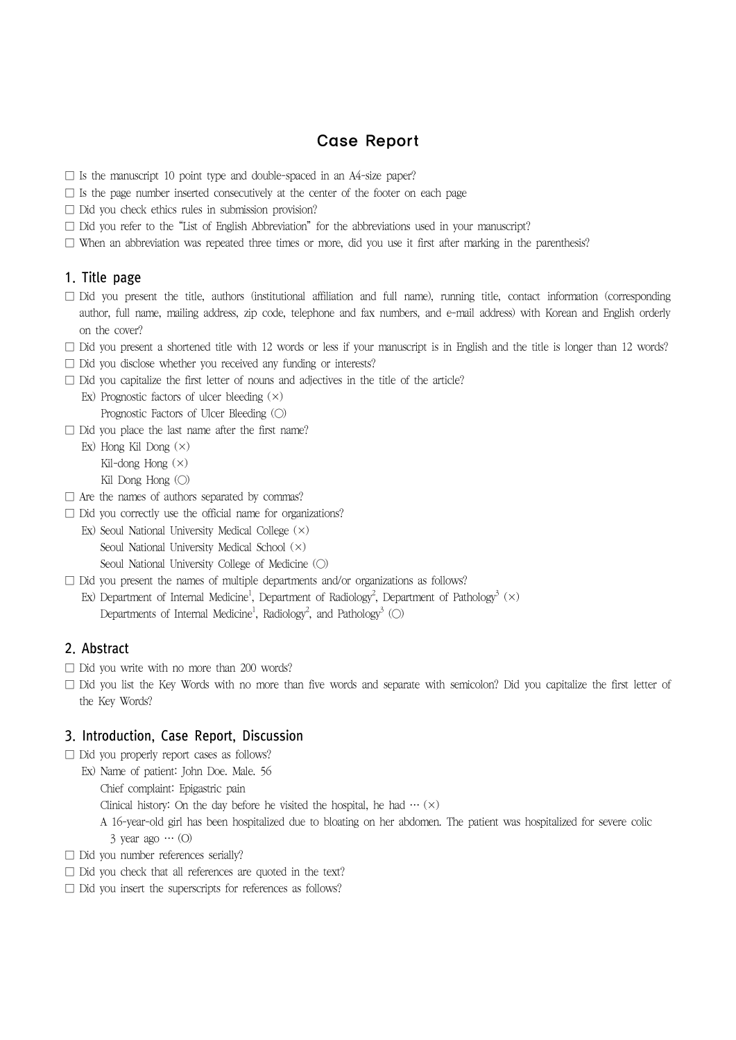# Case Report

- $\square$  Is the manuscript 10 point type and double-spaced in an A4-size paper?
- $\square$  Is the page number inserted consecutively at the center of the footer on each page
- □ Did you check ethics rules in submission provision?
- $\square$  Did you refer to the "List of English Abbreviation" for the abbreviations used in your manuscript?
- $\square$  When an abbreviation was repeated three times or more, did you use it first after marking in the parenthesis?

## 1. Title page

- $\square$  Did you present the title, authors (institutional affiliation and full name), running title, contact information (corresponding author, full name, mailing address, zip code, telephone and fax numbers, and e-mail address) with Korean and English orderly on the cover?
- $\square$  Did you present a shortened title with 12 words or less if your manuscript is in English and the title is longer than 12 words?
- $\Box$  Did you disclose whether you received any funding or interests?
- $\square$  Did you capitalize the first letter of nouns and adjectives in the title of the article?
	- Ex) Prognostic factors of ulcer bleeding  $(\times)$ Prognostic Factors of Ulcer Bleeding (○)
- $\Box$  Did you place the last name after the first name?
	- Ex) Hong Kil Dong (×) Kil-dong Hong  $(x)$ Kil Dong Hong (○)
- $\Box$  Are the names of authors separated by commas?
- $\Box$  Did you correctly use the official name for organizations?
	- Ex) Seoul National University Medical College (×) Seoul National University Medical School (×) Seoul National University College of Medicine (○)
- $\square$  Did you present the names of multiple departments and/or organizations as follows? Ex) Department of Internal Medicine<sup>1</sup>, Department of Radiology<sup>2</sup>, Department of Pathology<sup>3</sup> ( $\times$ ) Departments of Internal Medicine<sup>1</sup>, Radiology<sup>2</sup>, and Pathology<sup>3</sup> (○)

# 2. Abstract

- □ Did you write with no more than 200 words?
- $\square$  Did you list the Key Words with no more than five words and separate with semicolon? Did you capitalize the first letter of the Key Words?

## 3. Introduction, Case Report, Discussion

- $\Box$  Did you properly report cases as follows?
	- Ex) Name of patient: John Doe. Male. 56
		- Chief complaint: Epigastric pain
		- Clinical history: On the day before he visited the hospital, he had  $\cdots$  ( $\times$ )
		- A 16-year-old girl has been hospitalized due to bloating on her abdomen. The patient was hospitalized for severe colic 3 year ago … (O)
- $\Box$  Did you number references serially?
- □ Did you check that all references are quoted in the text?
- $\square$  Did you insert the superscripts for references as follows?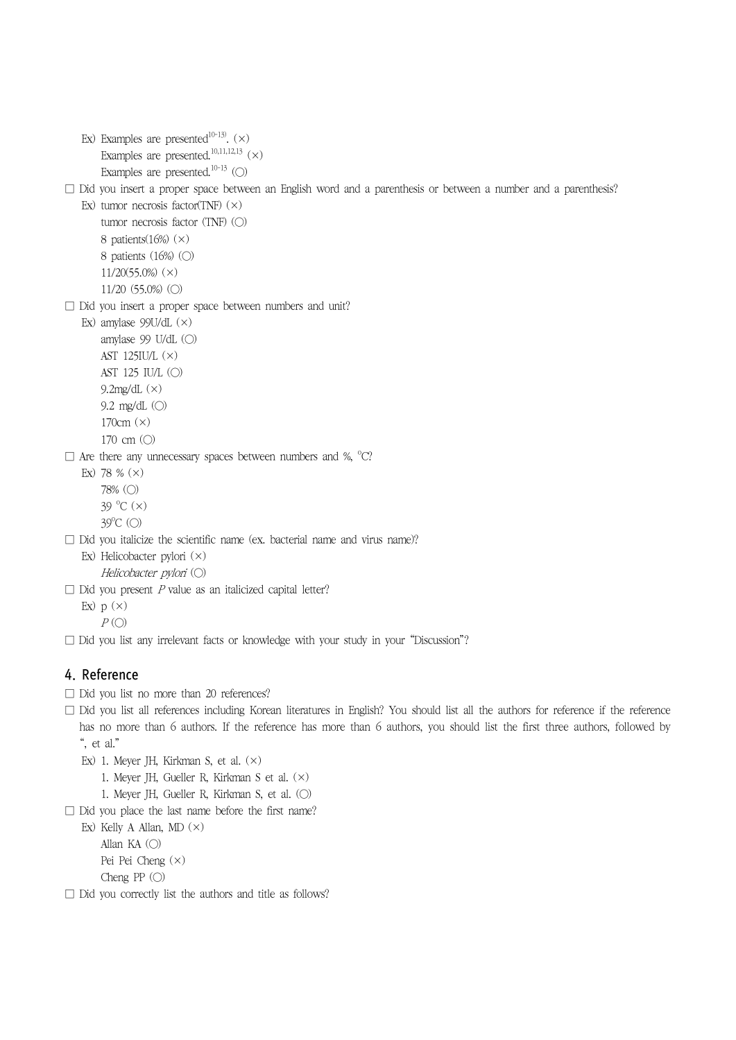- Ex) Examples are presented<sup>10-13)</sup>.  $(\times)$ Examples are presented.<sup>10,11,12,13</sup>  $(\times)$ Examples are presented.<sup>10-13</sup> (○)
- $\square$  Did you insert a proper space between an English word and a parenthesis or between a number and a parenthesis?
	- Ex) tumor necrosis factor(TNF)  $(x)$ tumor necrosis factor (TNF)  $\circ$ 8 patients $(16%)$   $(\times)$ 8 patients (16%) (○) 11/20(55.0%) (×) 11/20 (55.0%) (○)
- □ Did you insert a proper space between numbers and unit?
	- Ex) amylase 99U/dL (×) amylase 99 U/dL (○) AST 125IU/L (×) AST 125 IU/L (○) 9.2 $mg/dL(x)$ 9.2 mg/dL (○) 170cm (×) 170 cm  $(O)$
- $\Box$  Are there any unnecessary spaces between numbers and %,  $^{\circ}C$ ?
	- Ex) 78 %  $(x)$ 78% (○)  $39^{\circ}$ C $(x)$ 39<sup>o</sup>C (○)
- $\square$  Did you italicize the scientific name (ex. bacterial name and virus name)?
	- Ex) Helicobacter pylori (×) Helicobacter pylori (○)
- $\Box$  Did you present P value as an italicized capital letter?
	- Ex)  $p(x)$ 
		- $P$  ( $\bigcirc$ )
- □ Did you list any irrelevant facts or knowledge with your study in your "Discussion"?

# 4. Reference

- □ Did you list no more than 20 references?
- $\square$  Did you list all references including Korean literatures in English? You should list all the authors for reference if the reference has no more than 6 authors. If the reference has more than 6 authors, you should list the first three authors, followed by ", et al."
	- Ex) 1. Meyer JH, Kirkman S, et al. (×)
		- 1. Meyer JH, Gueller R, Kirkman S et al. (×)
		- 1. Meyer JH, Gueller R, Kirkman S, et al. (○)
- $\Box$  Did you place the last name before the first name?

Ex) Kelly A Allan, MD  $(\times)$ Allan KA (○) Pei Pei Cheng (×) Cheng  $PP$  ( $\bigcirc$ )

□ Did you correctly list the authors and title as follows?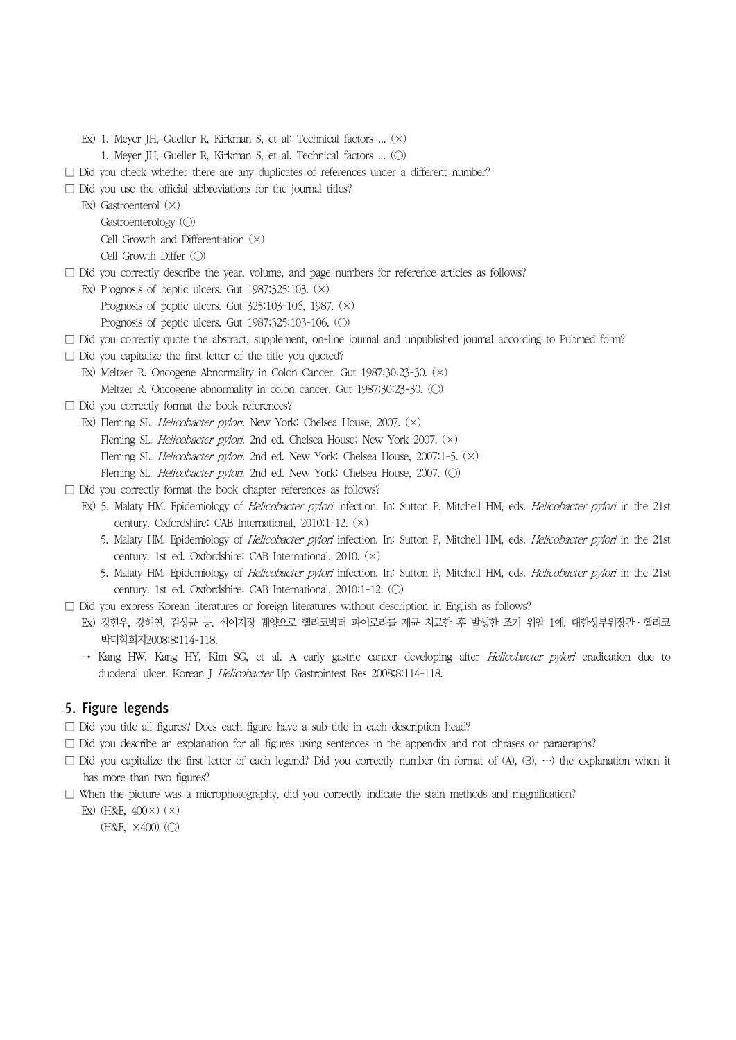- Ex) 1. Meyer JH, Gueller R, Kirkman S, et al: Technical factors ... (×)
	- 1. Meyer JH, Gueller R, Kirkman S, et al. Technical factors ... (○)
- $\square$  Did you check whether there are any duplicates of references under a different number?
- $\square$  Did you use the official abbreviations for the journal titles?
	- Ex) Gastroenterol (×)
		- Gastroenterology (○)
		- Cell Growth and Differentiation (×)
		- Cell Growth Differ (○)
- $\square$  Did you correctly describe the year, volume, and page numbers for reference articles as follows?
	- Ex) Prognosis of peptic ulcers. Gut  $1987;325:103.$  ( $\times$ )
		- Prognosis of peptic ulcers. Gut 325:103-106, 1987. (×)
		- Prognosis of peptic ulcers. Gut 1987;325:103-106. (○)
- $\Box$  Did you correctly quote the abstract, supplement, on-line journal and unpublished journal according to Pubmed form?
- $\square$  Did you capitalize the first letter of the title you quoted?
	- Ex) Meltzer R. Oncogene Abnormality in Colon Cancer. Gut 1987;30:23-30. (×)
	- Meltzer R. Oncogene abnormality in colon cancer. Gut 1987;30:23-30. (○)
- $\Box$  Did you correctly format the book references?
	- Ex) Fleming SL. Helicobacter pylori. New York: Chelsea House, 2007. (×)
		- Fleming SL. Helicobacter pylori. 2nd ed. Chelsea House; New York 2007. (×)
		- Fleming SL. *Helicobacter pylori*. 2nd ed. New York: Chelsea House, 2007:1-5. (×)
		- Fleming SL. *Helicobacter pylori*. 2nd ed. New York: Chelsea House, 2007. (○)
- □ Did you correctly format the book chapter references as follows?
	- Ex) 5. Malaty HM. Epidemiology of *Helicobacter pylori* infection. In: Sutton P, Mitchell HM, eds. Helicobacter pylori in the 21st century. Oxfordshire: CAB International, 2010:1-12. (×)
		- 5. Malaty HM. Epidemiology of Helicobacter pylori infection. In: Sutton P, Mitchell HM, eds. Helicobacter pylori in the 21st century. 1st ed. Oxfordshire: CAB International, 2010. (×)
		- 5. Malaty HM. Epidemiology of Helicobacter pylori infection. In: Sutton P, Mitchell HM, eds. Helicobacter pylori in the 21st century. 1st ed. Oxfordshire: CAB International, 2010:1-12. (○)
- $\square$  Did you express Korean literatures or foreign literatures without description in English as follows?
	- Ex) 강현우, 강해연, 김상균 등. 십이지장 궤양으로 헬리코박터 파이로리를 제균 치료한 후 발생한 조기 위암 1예. 대한상부위장관ㆍ헬리코 박터학회지2008;8:114-118.
	- → Kang HW, Kang HY, Kim SG, et al. A early gastric cancer developing after Helicobacter pylori eradication due to duodenal ulcer. Korean J Helicobacter Up Gastrointest Res 2008;8:114-118.

# 5. Figure legends

- $\square$  Did you title all figures? Does each figure have a sub-title in each description head?
- $\Box$  Did you describe an explanation for all figures using sentences in the appendix and not phrases or paragraphs?
- $\square$  Did you capitalize the first letter of each legend? Did you correctly number (in format of (A), (B), …) the explanation when it has more than two figures?
- $\square$  When the picture was a microphotography, did you correctly indicate the stain methods and magnification?
	- Ex) (H&E,  $400\times$ ) ( $\times$ )
		- $(H&E, \times 400)$   $\odot$